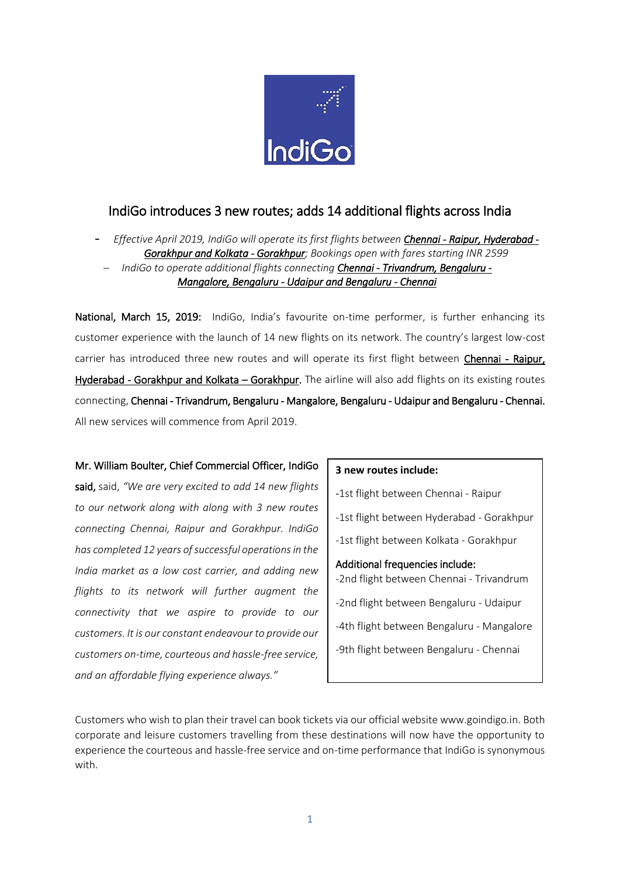

# IndiGo introduces 3 new routes; adds 14 additional flights across India

- *Effective April 2019, IndiGo will operate its first flights between Chennai - Raipur, Hyderabad - Gorakhpur and Kolkata - Gorakhpur; Bookings open with fares starting INR 2599 IndiGo to operate additional flights connecting Chennai - Trivandrum, Bengaluru - Mangalore, Bengaluru - Udaipur and Bengaluru - Chennai*

National, March 15, 2019: IndiGo, India's favourite on-time performer, is further enhancing its customer experience with the launch of 14 new flights on its network. The country's largest low-cost carrier has introduced three new routes and will operate its first flight between Chennai - Raipur, Hyderabad - Gorakhpur and Kolkata – Gorakhpur. The airline will also add flights on its existing routes connecting, Chennai - Trivandrum, Bengaluru - Mangalore, Bengaluru - Udaipur and Bengaluru - Chennai. All new services will commence from April 2019.

#### Mr. William Boulter, Chief Commercial Officer, IndiGo

said, said, *"We are very excited to add 14 new flights to our network along with along with 3 new routes connecting Chennai, Raipur and Gorakhpur. IndiGo has completed 12 years of successful operations in the India market as a low cost carrier, and adding new flights to its network will further augment the connectivity that we aspire to provide to our customers. It is our constant endeavour to provide our customers on-time, courteous and hassle-free service, and an affordable flying experience always."*

#### **3 new routes include:**

-1st flight between Chennai - Raipur

-1st flight between Hyderabad - Gorakhpur

-1st flight between Kolkata - Gorakhpur

Additional frequencies include: -2nd flight between Chennai - Trivandrum -2nd flight between Bengaluru - Udaipur -4th flight between Bengaluru - Mangalore

-9th flight between Bengaluru - Chennai

Customers who wish to plan their travel can book tickets via our official website www.goindigo.in. Both corporate and leisure customers travelling from these destinations will now have the opportunity to experience the courteous and hassle-free service and on-time performance that IndiGo is synonymous with.